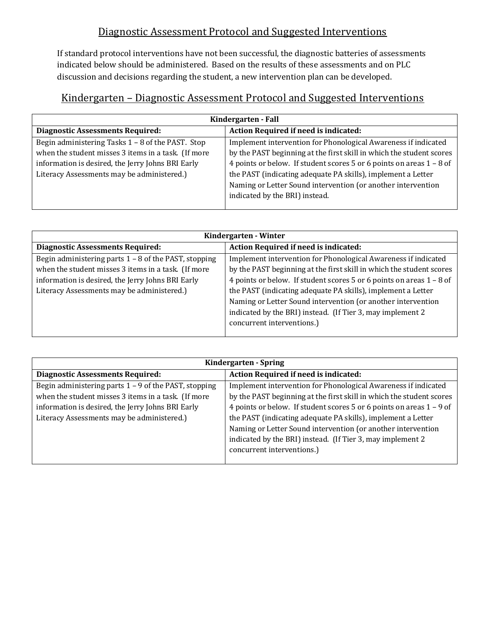## Diagnostic Assessment Protocol and Suggested Interventions

If standard protocol interventions have not been successful, the diagnostic batteries of assessments indicated below should be administered. Based on the results of these assessments and on PLC discussion and decisions regarding the student, a new intervention plan can be developed.

| Kindergarten – Diagnostic Assessment Protocol and Suggested Interventions |
|---------------------------------------------------------------------------|
|                                                                           |
|                                                                           |

| Kindergarten - Fall                                 |                                                                        |  |
|-----------------------------------------------------|------------------------------------------------------------------------|--|
| <b>Diagnostic Assessments Required:</b>             | Action Required if need is indicated:                                  |  |
| Begin administering Tasks 1 - 8 of the PAST. Stop   | Implement intervention for Phonological Awareness if indicated         |  |
| when the student misses 3 items in a task. (If more | by the PAST beginning at the first skill in which the student scores   |  |
| information is desired, the Jerry Johns BRI Early   | 4 points or below. If student scores 5 or 6 points on areas $1 - 8$ of |  |
| Literacy Assessments may be administered.)          | the PAST (indicating adequate PA skills), implement a Letter           |  |
|                                                     | Naming or Letter Sound intervention (or another intervention           |  |
|                                                     | indicated by the BRI) instead.                                         |  |
|                                                     |                                                                        |  |

| Kindergarten - Winter                                        |                                                                        |  |
|--------------------------------------------------------------|------------------------------------------------------------------------|--|
| <b>Diagnostic Assessments Required:</b>                      | Action Required if need is indicated:                                  |  |
| Begin administering parts $1 - 8$ of the PAST, stopping      | Implement intervention for Phonological Awareness if indicated         |  |
| when the student misses 3 items in a task. (If more          | by the PAST beginning at the first skill in which the student scores   |  |
| information is desired, the Jerry Johns BRI Early            | 4 points or below. If student scores 5 or 6 points on areas $1 - 8$ of |  |
| Literacy Assessments may be administered.)                   | the PAST (indicating adequate PA skills), implement a Letter           |  |
| Naming or Letter Sound intervention (or another intervention |                                                                        |  |
| indicated by the BRI) instead. (If Tier 3, may implement 2   |                                                                        |  |
|                                                              | concurrent interventions.)                                             |  |
|                                                              |                                                                        |  |

| Kindergarten - Spring                                        |                                                                        |  |
|--------------------------------------------------------------|------------------------------------------------------------------------|--|
| <b>Diagnostic Assessments Required:</b>                      | Action Required if need is indicated:                                  |  |
| Begin administering parts $1 - 9$ of the PAST, stopping      | Implement intervention for Phonological Awareness if indicated         |  |
| when the student misses 3 items in a task. (If more          | by the PAST beginning at the first skill in which the student scores   |  |
| information is desired, the Jerry Johns BRI Early            | 4 points or below. If student scores 5 or 6 points on areas $1 - 9$ of |  |
| Literacy Assessments may be administered.)                   | the PAST (indicating adequate PA skills), implement a Letter           |  |
| Naming or Letter Sound intervention (or another intervention |                                                                        |  |
| indicated by the BRI) instead. (If Tier 3, may implement 2   |                                                                        |  |
|                                                              | concurrent interventions.)                                             |  |
|                                                              |                                                                        |  |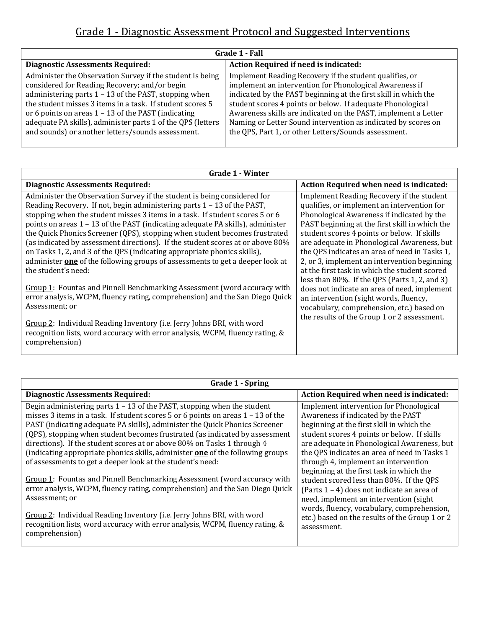## Grade 1 - Diagnostic Assessment Protocol and Suggested Interventions

| Action Required if need is indicated:                                                                                                                                                                                                                                                                                                                                                                                                          |
|------------------------------------------------------------------------------------------------------------------------------------------------------------------------------------------------------------------------------------------------------------------------------------------------------------------------------------------------------------------------------------------------------------------------------------------------|
| Implement Reading Recovery if the student qualifies, or<br>implement an intervention for Phonological Awareness if<br>indicated by the PAST beginning at the first skill in which the<br>student scores 4 points or below. If adequate Phonological<br>Awareness skills are indicated on the PAST, implement a Letter<br>Naming or Letter Sound intervention as indicated by scores on<br>the QPS, Part 1, or other Letters/Sounds assessment. |
|                                                                                                                                                                                                                                                                                                                                                                                                                                                |

| <b>Grade 1 - Winter</b>                                                                                                                                                                                                                                                                                                                                                                                                                                                                 |                                                                                                                                                                                                                                                                                        |  |
|-----------------------------------------------------------------------------------------------------------------------------------------------------------------------------------------------------------------------------------------------------------------------------------------------------------------------------------------------------------------------------------------------------------------------------------------------------------------------------------------|----------------------------------------------------------------------------------------------------------------------------------------------------------------------------------------------------------------------------------------------------------------------------------------|--|
| <b>Diagnostic Assessments Required:</b>                                                                                                                                                                                                                                                                                                                                                                                                                                                 | <b>Action Required when need is indicated:</b>                                                                                                                                                                                                                                         |  |
| Administer the Observation Survey if the student is being considered for<br>Reading Recovery. If not, begin administering parts $1 - 13$ of the PAST,<br>stopping when the student misses 3 items in a task. If student scores 5 or 6<br>points on areas 1 – 13 of the PAST (indicating adequate PA skills), administer<br>the Quick Phonics Screener (QPS), stopping when student becomes frustrated<br>(as indicated by assessment directions). If the student scores at or above 80% | Implement Reading Recovery if the student<br>qualifies, or implement an intervention for<br>Phonological Awareness if indicated by the<br>PAST beginning at the first skill in which the<br>student scores 4 points or below. If skills<br>are adequate in Phonological Awareness, but |  |
| on Tasks 1, 2, and 3 of the QPS (indicating appropriate phonics skills),<br>administer <b>one</b> of the following groups of assessments to get a deeper look at<br>the student's need:                                                                                                                                                                                                                                                                                                 | the QPS indicates an area of need in Tasks 1,<br>2, or 3, implement an intervention beginning<br>at the first task in which the student scored<br>less than $80\%$ . If the QPS (Parts 1, 2, and 3)                                                                                    |  |
| Group 1: Fountas and Pinnell Benchmarking Assessment (word accuracy with<br>error analysis, WCPM, fluency rating, comprehension) and the San Diego Quick<br>Assessment; or                                                                                                                                                                                                                                                                                                              | does not indicate an area of need, implement<br>an intervention (sight words, fluency,<br>vocabulary, comprehension, etc.) based on<br>the results of the Group 1 or 2 assessment.                                                                                                     |  |
| Group 2: Individual Reading Inventory (i.e. Jerry Johns BRI, with word<br>recognition lists, word accuracy with error analysis, WCPM, fluency rating, &<br>comprehension)                                                                                                                                                                                                                                                                                                               |                                                                                                                                                                                                                                                                                        |  |

| <b>Grade 1 - Spring</b>                                                               |                                                |  |
|---------------------------------------------------------------------------------------|------------------------------------------------|--|
| <b>Diagnostic Assessments Required:</b>                                               | Action Required when need is indicated:        |  |
| Begin administering parts $1 - 13$ of the PAST, stopping when the student             | Implement intervention for Phonological        |  |
| misses 3 items in a task. If student scores $5$ or 6 points on areas $1 - 13$ of the  | Awareness if indicated by the PAST             |  |
| PAST (indicating adequate PA skills), administer the Quick Phonics Screener           | beginning at the first skill in which the      |  |
| (QPS), stopping when student becomes frustrated (as indicated by assessment           | student scores 4 points or below. If skills    |  |
| directions). If the student scores at or above 80% on Tasks 1 through 4               | are adequate in Phonological Awareness, but    |  |
| (indicating appropriate phonics skills, administer <b>one</b> of the following groups | the QPS indicates an area of need in Tasks 1   |  |
| of assessments to get a deeper look at the student's need:                            | through 4, implement an intervention           |  |
|                                                                                       | beginning at the first task in which the       |  |
| Group 1: Fountas and Pinnell Benchmarking Assessment (word accuracy with              | student scored less than 80%. If the QPS       |  |
| error analysis, WCPM, fluency rating, comprehension) and the San Diego Quick          | (Parts $1 - 4$ ) does not indicate an area of  |  |
| Assessment; or                                                                        | need, implement an intervention (sight         |  |
| Group 2: Individual Reading Inventory (i.e. Jerry Johns BRI, with word                | words, fluency, vocabulary, comprehension,     |  |
| recognition lists, word accuracy with error analysis, WCPM, fluency rating, &         | etc.) based on the results of the Group 1 or 2 |  |
| comprehension)                                                                        | assessment.                                    |  |
|                                                                                       |                                                |  |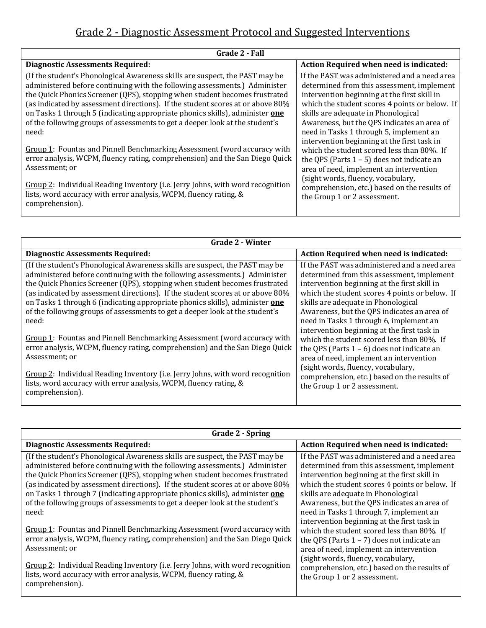## Grade 2 - Diagnostic Assessment Protocol and Suggested Interventions

| Grade 2 - Fall                                                                                                                                                                                                                                                                                                                                                                                                                                                                                                                                                                  |                                                                                                                                                                                                                                                                                                                                                                                                                            |  |
|---------------------------------------------------------------------------------------------------------------------------------------------------------------------------------------------------------------------------------------------------------------------------------------------------------------------------------------------------------------------------------------------------------------------------------------------------------------------------------------------------------------------------------------------------------------------------------|----------------------------------------------------------------------------------------------------------------------------------------------------------------------------------------------------------------------------------------------------------------------------------------------------------------------------------------------------------------------------------------------------------------------------|--|
| <b>Diagnostic Assessments Required:</b>                                                                                                                                                                                                                                                                                                                                                                                                                                                                                                                                         | Action Required when need is indicated:                                                                                                                                                                                                                                                                                                                                                                                    |  |
| (If the student's Phonological Awareness skills are suspect, the PAST may be<br>administered before continuing with the following assessments.) Administer<br>the Quick Phonics Screener (QPS), stopping when student becomes frustrated<br>(as indicated by assessment directions). If the student scores at or above 80%<br>on Tasks 1 through 5 (indicating appropriate phonics skills), administer one<br>of the following groups of assessments to get a deeper look at the student's<br>need:<br>Group 1: Fountas and Pinnell Benchmarking Assessment (word accuracy with | If the PAST was administered and a need area<br>determined from this assessment, implement<br>intervention beginning at the first skill in<br>which the student scores 4 points or below. If<br>skills are adequate in Phonological<br>Awareness, but the QPS indicates an area of<br>need in Tasks 1 through 5, implement an<br>intervention beginning at the first task in<br>which the student scored less than 80%. If |  |
| error analysis, WCPM, fluency rating, comprehension) and the San Diego Quick<br>Assessment; or<br>Group 2: Individual Reading Inventory (i.e. Jerry Johns, with word recognition<br>lists, word accuracy with error analysis, WCPM, fluency rating, &<br>comprehension).                                                                                                                                                                                                                                                                                                        | the QPS (Parts $1 - 5$ ) does not indicate an<br>area of need, implement an intervention<br>(sight words, fluency, vocabulary,<br>comprehension, etc.) based on the results of<br>the Group 1 or 2 assessment.                                                                                                                                                                                                             |  |

| <b>Grade 2 - Winter</b>                                                                                                                                                                                                                                                                                                                                                                                                                                                                             |                                                                                                                                                                                                                                                                                                                               |  |
|-----------------------------------------------------------------------------------------------------------------------------------------------------------------------------------------------------------------------------------------------------------------------------------------------------------------------------------------------------------------------------------------------------------------------------------------------------------------------------------------------------|-------------------------------------------------------------------------------------------------------------------------------------------------------------------------------------------------------------------------------------------------------------------------------------------------------------------------------|--|
| <b>Diagnostic Assessments Required:</b>                                                                                                                                                                                                                                                                                                                                                                                                                                                             | Action Required when need is indicated:                                                                                                                                                                                                                                                                                       |  |
| (If the student's Phonological Awareness skills are suspect, the PAST may be<br>administered before continuing with the following assessments.) Administer<br>the Quick Phonics Screener (QPS), stopping when student becomes frustrated<br>(as indicated by assessment directions). If the student scores at or above 80%<br>on Tasks 1 through 6 (indicating appropriate phonics skills), administer one<br>of the following groups of assessments to get a deeper look at the student's<br>need: | If the PAST was administered and a need area<br>determined from this assessment, implement<br>intervention beginning at the first skill in<br>which the student scores 4 points or below. If<br>skills are adequate in Phonological<br>Awareness, but the QPS indicates an area of<br>need in Tasks 1 through 6, implement an |  |
| Group 1: Fountas and Pinnell Benchmarking Assessment (word accuracy with<br>error analysis, WCPM, fluency rating, comprehension) and the San Diego Quick<br>Assessment; or<br>Group 2: Individual Reading Inventory (i.e. Jerry Johns, with word recognition                                                                                                                                                                                                                                        | intervention beginning at the first task in<br>which the student scored less than 80%. If<br>the QPS (Parts $1 - 6$ ) does not indicate an<br>area of need, implement an intervention<br>(sight words, fluency, vocabulary,                                                                                                   |  |
| lists, word accuracy with error analysis, WCPM, fluency rating, &<br>comprehension).                                                                                                                                                                                                                                                                                                                                                                                                                | comprehension, etc.) based on the results of<br>the Group 1 or 2 assessment.                                                                                                                                                                                                                                                  |  |

| Grade 2 - Spring                                                                                                                                                                                                                                                                                                                                                                                                                                                                                    |                                                                                                                                                                                                                                                                                                                               |  |
|-----------------------------------------------------------------------------------------------------------------------------------------------------------------------------------------------------------------------------------------------------------------------------------------------------------------------------------------------------------------------------------------------------------------------------------------------------------------------------------------------------|-------------------------------------------------------------------------------------------------------------------------------------------------------------------------------------------------------------------------------------------------------------------------------------------------------------------------------|--|
| <b>Diagnostic Assessments Required:</b>                                                                                                                                                                                                                                                                                                                                                                                                                                                             | Action Required when need is indicated:                                                                                                                                                                                                                                                                                       |  |
| (If the student's Phonological Awareness skills are suspect, the PAST may be<br>administered before continuing with the following assessments.) Administer<br>the Quick Phonics Screener (QPS), stopping when student becomes frustrated<br>(as indicated by assessment directions). If the student scores at or above 80%<br>on Tasks 1 through 7 (indicating appropriate phonics skills), administer one<br>of the following groups of assessments to get a deeper look at the student's<br>need: | If the PAST was administered and a need area<br>determined from this assessment, implement<br>intervention beginning at the first skill in<br>which the student scores 4 points or below. If<br>skills are adequate in Phonological<br>Awareness, but the QPS indicates an area of<br>need in Tasks 1 through 7, implement an |  |
| Group 1: Fountas and Pinnell Benchmarking Assessment (word accuracy with<br>error analysis, WCPM, fluency rating, comprehension) and the San Diego Quick<br>Assessment; or<br>Group 2: Individual Reading Inventory (i.e. Jerry Johns, with word recognition<br>lists, word accuracy with error analysis, WCPM, fluency rating, &                                                                                                                                                                   | intervention beginning at the first task in<br>which the student scored less than 80%. If<br>the QPS (Parts $1 - 7$ ) does not indicate an<br>area of need, implement an intervention<br>(sight words, fluency, vocabulary,<br>comprehension, etc.) based on the results of<br>the Group 1 or 2 assessment.                   |  |
| comprehension).                                                                                                                                                                                                                                                                                                                                                                                                                                                                                     |                                                                                                                                                                                                                                                                                                                               |  |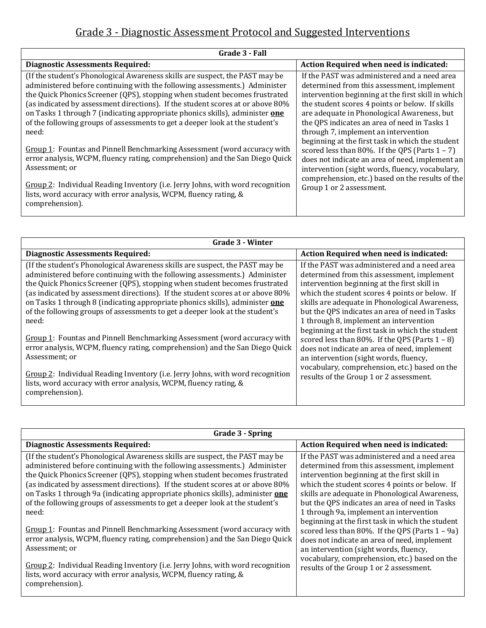## Grade 3 - Diagnostic Assessment Protocol and Suggested Interventions

| Grade 3 - Fall                                                                                                                                                                                                                                                                                                                                                                                                                                                                                      |                                                                                                                                                                                                                                                                                                                                                                                                |  |
|-----------------------------------------------------------------------------------------------------------------------------------------------------------------------------------------------------------------------------------------------------------------------------------------------------------------------------------------------------------------------------------------------------------------------------------------------------------------------------------------------------|------------------------------------------------------------------------------------------------------------------------------------------------------------------------------------------------------------------------------------------------------------------------------------------------------------------------------------------------------------------------------------------------|--|
| <b>Diagnostic Assessments Required:</b>                                                                                                                                                                                                                                                                                                                                                                                                                                                             | Action Required when need is indicated:                                                                                                                                                                                                                                                                                                                                                        |  |
| (If the student's Phonological Awareness skills are suspect, the PAST may be<br>administered before continuing with the following assessments.) Administer<br>the Quick Phonics Screener (QPS), stopping when student becomes frustrated<br>(as indicated by assessment directions). If the student scores at or above 80%<br>on Tasks 1 through 7 (indicating appropriate phonics skills), administer one<br>of the following groups of assessments to get a deeper look at the student's<br>need: | If the PAST was administered and a need area<br>determined from this assessment, implement<br>intervention beginning at the first skill in which<br>the student scores 4 points or below. If skills<br>are adequate in Phonological Awareness, but<br>the QPS indicates an area of need in Tasks 1<br>through 7, implement an intervention<br>beginning at the first task in which the student |  |
| Group 1: Fountas and Pinnell Benchmarking Assessment (word accuracy with<br>error analysis, WCPM, fluency rating, comprehension) and the San Diego Quick<br>Assessment; or<br>Group 2: Individual Reading Inventory (i.e. Jerry Johns, with word recognition                                                                                                                                                                                                                                        | scored less than 80%. If the QPS (Parts $1 - 7$ )<br>does not indicate an area of need, implement an<br>intervention (sight words, fluency, vocabulary,<br>comprehension, etc.) based on the results of the<br>Group 1 or 2 assessment.                                                                                                                                                        |  |
| lists, word accuracy with error analysis, WCPM, fluency rating, &<br>comprehension).                                                                                                                                                                                                                                                                                                                                                                                                                |                                                                                                                                                                                                                                                                                                                                                                                                |  |

| Grade 3 - Winter                                                                                                                                                                                                                                                                                                                                                                                                                                                                                    |                                                                                                                                                                                                                                                                                                                                            |  |
|-----------------------------------------------------------------------------------------------------------------------------------------------------------------------------------------------------------------------------------------------------------------------------------------------------------------------------------------------------------------------------------------------------------------------------------------------------------------------------------------------------|--------------------------------------------------------------------------------------------------------------------------------------------------------------------------------------------------------------------------------------------------------------------------------------------------------------------------------------------|--|
| <b>Diagnostic Assessments Required:</b>                                                                                                                                                                                                                                                                                                                                                                                                                                                             | Action Required when need is indicated:                                                                                                                                                                                                                                                                                                    |  |
| (If the student's Phonological Awareness skills are suspect, the PAST may be<br>administered before continuing with the following assessments.) Administer<br>the Quick Phonics Screener (QPS), stopping when student becomes frustrated<br>(as indicated by assessment directions). If the student scores at or above 80%<br>on Tasks 1 through 8 (indicating appropriate phonics skills), administer one<br>of the following groups of assessments to get a deeper look at the student's<br>need: | If the PAST was administered and a need area<br>determined from this assessment, implement<br>intervention beginning at the first skill in<br>which the student scores 4 points or below. If<br>skills are adequate in Phonological Awareness,<br>but the QPS indicates an area of need in Tasks<br>1 through 8, implement an intervention |  |
| Group 1: Fountas and Pinnell Benchmarking Assessment (word accuracy with<br>error analysis, WCPM, fluency rating, comprehension) and the San Diego Quick<br>Assessment; or                                                                                                                                                                                                                                                                                                                          | beginning at the first task in which the student<br>scored less than 80%. If the QPS (Parts $1 - 8$ )<br>does not indicate an area of need, implement<br>an intervention (sight words, fluency,                                                                                                                                            |  |
| Group 2: Individual Reading Inventory (i.e. Jerry Johns, with word recognition<br>lists, word accuracy with error analysis, WCPM, fluency rating, &<br>comprehension).                                                                                                                                                                                                                                                                                                                              | vocabulary, comprehension, etc.) based on the<br>results of the Group 1 or 2 assessment.                                                                                                                                                                                                                                                   |  |

| Grade 3 - Spring                                                                                                                                                                                                                                                                                                                                                                                                                                                                                     |                                                                                                                                                                                                                                                                                                                                                                                                                                                                                                                                                                                                                                             |  |
|------------------------------------------------------------------------------------------------------------------------------------------------------------------------------------------------------------------------------------------------------------------------------------------------------------------------------------------------------------------------------------------------------------------------------------------------------------------------------------------------------|---------------------------------------------------------------------------------------------------------------------------------------------------------------------------------------------------------------------------------------------------------------------------------------------------------------------------------------------------------------------------------------------------------------------------------------------------------------------------------------------------------------------------------------------------------------------------------------------------------------------------------------------|--|
| <b>Diagnostic Assessments Required:</b>                                                                                                                                                                                                                                                                                                                                                                                                                                                              | Action Required when need is indicated:                                                                                                                                                                                                                                                                                                                                                                                                                                                                                                                                                                                                     |  |
| (If the student's Phonological Awareness skills are suspect, the PAST may be<br>administered before continuing with the following assessments.) Administer<br>the Quick Phonics Screener (QPS), stopping when student becomes frustrated<br>(as indicated by assessment directions). If the student scores at or above 80%<br>on Tasks 1 through 9a (indicating appropriate phonics skills), administer one<br>of the following groups of assessments to get a deeper look at the student's<br>need: | If the PAST was administered and a need area<br>determined from this assessment, implement<br>intervention beginning at the first skill in<br>which the student scores 4 points or below. If<br>skills are adequate in Phonological Awareness,<br>but the QPS indicates an area of need in Tasks<br>1 through 9a, implement an intervention<br>beginning at the first task in which the student<br>scored less than 80%. If the QPS (Parts $1 - 9a$ )<br>does not indicate an area of need, implement<br>an intervention (sight words, fluency,<br>vocabulary, comprehension, etc.) based on the<br>results of the Group 1 or 2 assessment. |  |
| Group 1: Fountas and Pinnell Benchmarking Assessment (word accuracy with<br>error analysis, WCPM, fluency rating, comprehension) and the San Diego Quick<br>Assessment; or                                                                                                                                                                                                                                                                                                                           |                                                                                                                                                                                                                                                                                                                                                                                                                                                                                                                                                                                                                                             |  |
| Group 2: Individual Reading Inventory (i.e. Jerry Johns, with word recognition<br>lists, word accuracy with error analysis, WCPM, fluency rating, &<br>comprehension).                                                                                                                                                                                                                                                                                                                               |                                                                                                                                                                                                                                                                                                                                                                                                                                                                                                                                                                                                                                             |  |